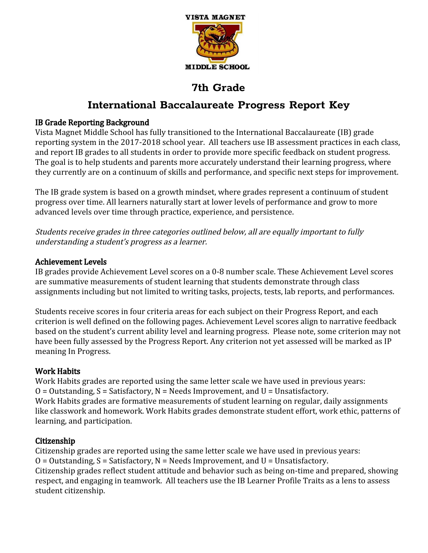

# **International Baccalaureate Progress Report Key**

## IB Grade Reporting Background

Vista Magnet Middle School has fully transitioned to the International Baccalaureate (IB) grade reporting system in the 2017-2018 school year. All teachers use IB assessment practices in each class, and report IB grades to all students in order to provide more specific feedback on student progress. The goal is to help students and parents more accurately understand their learning progress, where they currently are on a continuum of skills and performance, and specific next steps for improvement.

The IB grade system is based on a growth mindset, where grades represent a continuum of student progress over time. All learners naturally start at lower levels of performance and grow to more advanced levels over time through practice, experience, and persistence.

Students receive grades in three categories outlined below, all are equally important to fully understanding <sup>a</sup> student's progress as <sup>a</sup> learner.

## Achievement Levels

IB grades provide Achievement Level scores on a 0-8 number scale. These Achievement Level scores are summative measurements of student learning that students demonstrate through class assignments including but not limited to writing tasks, projects, tests, lab reports, and performances.

Students receive scores in four criteria areas for each subject on their Progress Report, and each criterion is well defined on the following pages. Achievement Level scores align to narrative feedback based on the student's current ability level and learning progress. Please note, some criterion may not have been fully assessed by the Progress Report. Any criterion not yet assessed will be marked as IP meaning In Progress.

## Work Habits

Work Habits grades are reported using the same letter scale we have used in previous years:  $O = 0$ utstanding,  $S = S$ atisfactory,  $N = Needs$  Improvement, and  $U = Unsatisfactory$ . Work Habits grades are formative measurements of student learning on regular, daily assignments like classwork and homework. Work Habits grades demonstrate student effort, work ethic, patterns of learning, and participation.

## Citizenship

Citizenship grades are reported using the same letter scale we have used in previous years:  $O = 0$ utstanding,  $S = S$ atisfactory,  $N = Needs$  Improvement, and  $U = Unsatisfactory$ . Citizenship grades reflect student attitude and behavior such as being on-time and prepared, showing respect, and engaging in teamwork. All teachers use the IB Learner Profile Traits as a lens to assess student citizenship.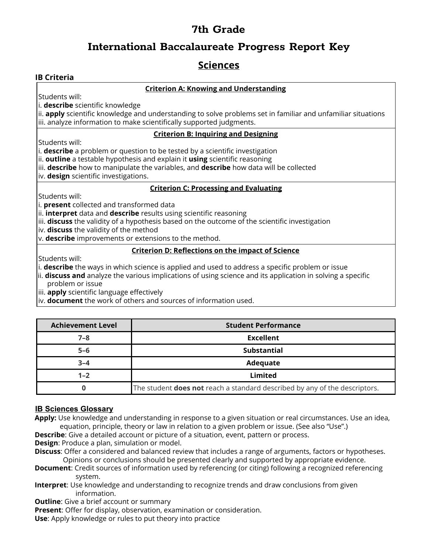## **International Baccalaureate Progress Report Key**

## **Sciences**

## **IB Criteria**

### **Criterion A: Knowing and Understanding**

Students will:

i. **describe** scientific knowledge

ii. **apply** scientific knowledge and understanding to solve problems set in familiar and unfamiliar situations iii. analyze information to make scientifically supported judgments.

### **Criterion B: Inquiring and Designing**

Students will:

i. **describe** a problem or question to be tested by a scientific investigation

ii. **outline** a testable hypothesis and explain it **using** scientific reasoning

iii. **describe** how to manipulate the variables, and **describe** how data will be collected

iv. **design** scientific investigations.

### **Criterion C: Processing and Evaluating**

Students will:

i. **present** collected and transformed data

ii. **interpret** data and **describe** results using scientific reasoning

iii. **discuss** the validity of a hypothesis based on the outcome of the scientific investigation

iv. **discuss** the validity of the method

v. **describe** improvements or extensions to the method.

### **Criterion D: Reflections on the impact of Science**

Students will:

i. **describe** the ways in which science is applied and used to address a specific problem or issue

ii. **discuss and** analyze the various implications of using science and its application in solving a specific problem or issue

iii. **apply** scientific language effectively

iv. **document** the work of others and sources of information used.

| <b>Achievement Level</b> | <b>Student Performance</b>                                                        |
|--------------------------|-----------------------------------------------------------------------------------|
| $7 - 8$                  | <b>Excellent</b>                                                                  |
| $5 - 6$                  | <b>Substantial</b>                                                                |
| $3 - 4$                  | Adequate                                                                          |
| $1 - 2$                  | Limited                                                                           |
|                          | The student <b>does not</b> reach a standard described by any of the descriptors. |

## **IB Sciences Glossary**

**Apply:** Use knowledge and understanding in response to a given situation or real circumstances. Use an idea, equation, principle, theory or law in relation to a given problem or issue. (See also "Use".)

**Describe**: Give a detailed account or picture of a situation, event, pattern or process.

**Design**: Produce a plan, simulation or model.

**Discuss**: Offer a considered and balanced review that includes a range of arguments, factors or hypotheses. Opinions or conclusions should be presented clearly and supported by appropriate evidence.

- **Document**: Credit sources of information used by referencing (or citing) following a recognized referencing system.
- **Interpret**: Use knowledge and understanding to recognize trends and draw conclusions from given information.

**Outline:** Give a brief account or summary

**Present**: Offer for display, observation, examination or consideration.

**Use**: Apply knowledge or rules to put theory into practice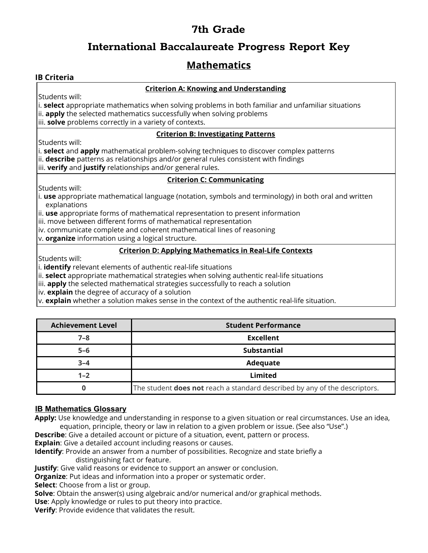## **International Baccalaureate Progress Report Key**

## **Mathematics**

## **IB Criteria**

### **Criterion A: Knowing and Understanding**

Students will:

i. **select** appropriate mathematics when solving problems in both familiar and unfamiliar situations ii. **apply** the selected mathematics successfully when solving problems iii. **solve** problems correctly in a variety of contexts.

### **Criterion B: Investigating Patterns**

Students will:

i. **select** and **apply** mathematical problem-solving techniques to discover complex patterns ii. **describe** patterns as relationships and/or general rules consistent with findings iii. **verify** and **justify** relationships and/or general rules.

### **Criterion C: Communicating**

Students will:

i. **use** appropriate mathematical language (notation, symbols and terminology) in both oral and written explanations

ii. **use** appropriate forms of mathematical representation to present information

iii. move between different forms of mathematical representation

iv. communicate complete and coherent mathematical lines of reasoning

v. **organize** information using a logical structure.

### **Criterion D: Applying Mathematics in Real-Life Contexts**

Students will:

i. **identify** relevant elements of authentic real-life situations

ii. **select** appropriate mathematical strategies when solving authentic real-life situations

iii. **apply** the selected mathematical strategies successfully to reach a solution

iv. **explain** the degree of accuracy of a solution

v. **explain** whether a solution makes sense in the context of the authentic real-life situation.

| <b>Achievement Level</b> | <b>Student Performance</b>                                                        |
|--------------------------|-----------------------------------------------------------------------------------|
| $7 - 8$                  | <b>Excellent</b>                                                                  |
| $5 - 6$                  | <b>Substantial</b>                                                                |
| $3 - 4$                  | Adequate                                                                          |
| $1 - 2$                  | Limited                                                                           |
|                          | The student <b>does not</b> reach a standard described by any of the descriptors. |

## **IB Mathematics Glossary**

**Apply:** Use knowledge and understanding in response to a given situation or real circumstances. Use an idea, equation, principle, theory or law in relation to a given problem or issue. (See also "Use".)

**Describe**: Give a detailed account or picture of a situation, event, pattern or process.

**Explain**: Give a detailed account including reasons or causes.

**Identify**: Provide an answer from a number of possibilities. Recognize and state briefly a distinguishing fact or feature.

**Justify**: Give valid reasons or evidence to support an answer or conclusion.

**Organize**: Put ideas and information into a proper or systematic order.

**Select**: Choose from a list or group.

**Solve**: Obtain the answer(s) using algebraic and/or numerical and/or graphical methods. **Use**: Apply knowledge or rules to put theory into practice.

**Verify**: Provide evidence that validates the result.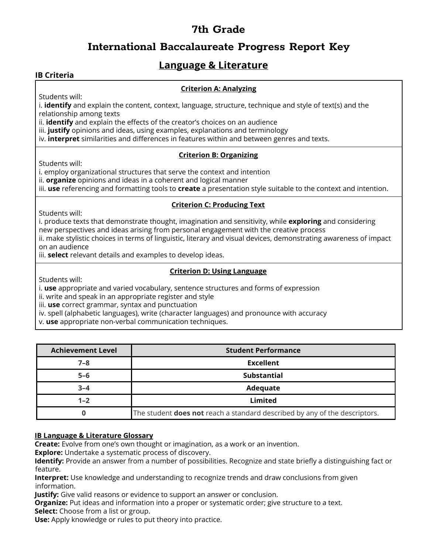## **International Baccalaureate Progress Report Key**

## **Language & Literature**

### **IB Criteria**

### **Criterion A: Analyzing**

Students will:

i. **identify** and explain the content, context, language, structure, technique and style of text(s) and the relationship among texts

ii. **identify** and explain the effects of the creator's choices on an audience

iii. **justify** opinions and ideas, using examples, explanations and terminology

iv. **interpret** similarities and differences in features within and between genres and texts.

#### **Criterion B: Organizing**

Students will:

i. employ organizational structures that serve the context and intention

ii. **organize** opinions and ideas in a coherent and logical manner

iii. **use** referencing and formatting tools to **create** a presentation style suitable to the context and intention.

### **Criterion C: Producing Text**

Students will:

i. produce texts that demonstrate thought, imagination and sensitivity, while **exploring** and considering new perspectives and ideas arising from personal engagement with the creative process

ii. make stylistic choices in terms of linguistic, literary and visual devices, demonstrating awareness of impact on an audience

iii. **select** relevant details and examples to develop ideas.

### **Criterion D: Using Language**

Students will:

i. **use** appropriate and varied vocabulary, sentence structures and forms of expression

ii. write and speak in an appropriate register and style

iii. **use** correct grammar, syntax and punctuation

iv. spell (alphabetic languages), write (character languages) and pronounce with accuracy

v. **use** appropriate non-verbal communication techniques.

| <b>Achievement Level</b> | <b>Student Performance</b>                                                        |
|--------------------------|-----------------------------------------------------------------------------------|
| 7–8                      | Excellent                                                                         |
| $5 - 6$                  | Substantial                                                                       |
| $3 - 4$                  | Adequate                                                                          |
| $1 - 2$                  | Limited                                                                           |
|                          | The student <b>does not</b> reach a standard described by any of the descriptors. |

### **IB Language & Literature Glossary**

**Create:** Evolve from one's own thought or imagination, as a work or an invention.

**Explore:** Undertake a systematic process of discovery.

**Identify:** Provide an answer from a number of possibilities. Recognize and state briefly a distinguishing fact or feature.

**Interpret:** Use knowledge and understanding to recognize trends and draw conclusions from given information.

**Justify:** Give valid reasons or evidence to support an answer or conclusion.

**Organize:** Put ideas and information into a proper or systematic order; give structure to a text.

**Select:** Choose from a list or group.

**Use:** Apply knowledge or rules to put theory into practice.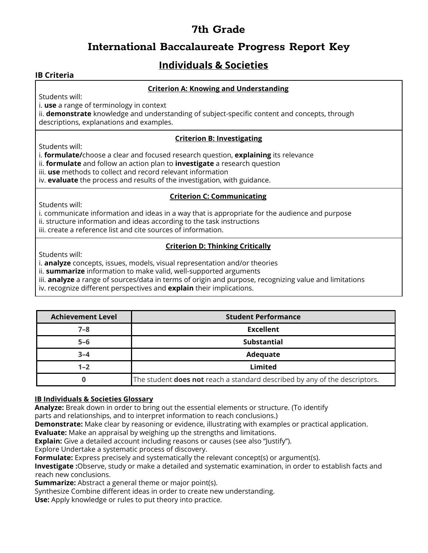## **International Baccalaureate Progress Report Key**

# **Individuals & Societies**

## **IB Criteria**

### **Criterion A: Knowing and Understanding**

Students will:

i. **use** a range of terminology in context

ii. **demonstrate** knowledge and understanding of subject-specific content and concepts, through descriptions, explanations and examples.

### **Criterion B: Investigating**

Students will:

i. **formulate/**choose a clear and focused research question, **explaining** its relevance

- ii. **formulate** and follow an action plan to **investigate** a research question
- iii. **use** methods to collect and record relevant information

iv. **evaluate** the process and results of the investigation, with guidance.

### **Criterion C: Communicating**

Students will:

i. communicate information and ideas in a way that is appropriate for the audience and purpose

- ii. structure information and ideas according to the task instructions
- iii. create a reference list and cite sources of information.

## **Criterion D: Thinking Critically**

Students will:

i. **analyze** concepts, issues, models, visual representation and/or theories

ii. **summarize** information to make valid, well-supported arguments

iii. **analyze** a range of sources/data in terms of origin and purpose, recognizing value and limitations

iv. recognize different perspectives and **explain** their implications.

| <b>Achievement Level</b> | <b>Student Performance</b>                                                        |
|--------------------------|-----------------------------------------------------------------------------------|
| $7 - 8$                  | <b>Excellent</b>                                                                  |
| $5 - 6$                  | <b>Substantial</b>                                                                |
| $3 - 4$                  | Adequate                                                                          |
| $1 - 2$                  | <b>Limited</b>                                                                    |
|                          | The student <b>does not</b> reach a standard described by any of the descriptors. |

## **IB Individuals & Societies Glossary**

**Analyze:** Break down in order to bring out the essential elements or structure. (To identify

parts and relationships, and to interpret information to reach conclusions.)

**Demonstrate:** Make clear by reasoning or evidence, illustrating with examples or practical application.

**Evaluate:** Make an appraisal by weighing up the strengths and limitations.

**Explain:** Give a detailed account including reasons or causes (see also "Justify").

Explore Undertake a systematic process of discovery.

**Formulate:** Express precisely and systematically the relevant concept(s) or argument(s).

**Investigate :**Observe, study or make a detailed and systematic examination, in order to establish facts and reach new conclusions.

**Summarize:** Abstract a general theme or major point(s).

Synthesize Combine different ideas in order to create new understanding.

**Use:** Apply knowledge or rules to put theory into practice.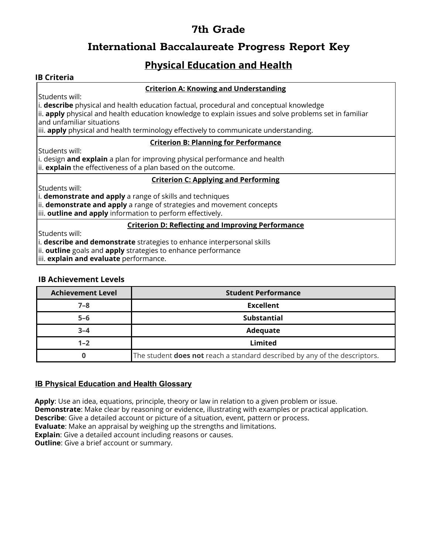## **International Baccalaureate Progress Report Key**

# **Physical Education and Health**

### **IB Criteria**

### **Criterion A: Knowing and Understanding**

Students will:

i. **describe** physical and health education factual, procedural and conceptual knowledge

ii. **apply** physical and health education knowledge to explain issues and solve problems set in familiar and unfamiliar situations

iii. **apply** physical and health terminology effectively to communicate understanding.

### **Criterion B: Planning for Performance**

Students will:

i. design **and explain** a plan for improving physical performance and health ii. **explain** the effectiveness of a plan based on the outcome.

#### **Criterion C: Applying and Performing**

Students will:

i. **demonstrate and apply** a range of skills and techniques

ii. **demonstrate and apply** a range of strategies and movement concepts

iii. **outline and apply** information to perform effectively.

#### **Criterion D: Reflecting and Improving Performance**

Students will:

i. **describe and demonstrate** strategies to enhance interpersonal skills

ii. **outline** goals and **apply** strategies to enhance performance

iii. **explain and evaluate** performance.

### **IB Achievement Levels**

| <b>Achievement Level</b> | <b>Student Performance</b>                                                        |
|--------------------------|-----------------------------------------------------------------------------------|
| $7 - 8$                  | <b>Excellent</b>                                                                  |
| $5-6$                    | <b>Substantial</b>                                                                |
| $3 - 4$                  | Adequate                                                                          |
| $1 - 2$                  | Limited                                                                           |
|                          | The student <b>does not</b> reach a standard described by any of the descriptors. |

## **IB Physical Education and Health Glossary**

**Apply**: Use an idea, equations, principle, theory or law in relation to a given problem or issue. **Demonstrate**: Make clear by reasoning or evidence, illustrating with examples or practical application. **Describe**: Give a detailed account or picture of a situation, event, pattern or process. **Evaluate**: Make an appraisal by weighing up the strengths and limitations. **Explain**: Give a detailed account including reasons or causes. **Outline:** Give a brief account or summary.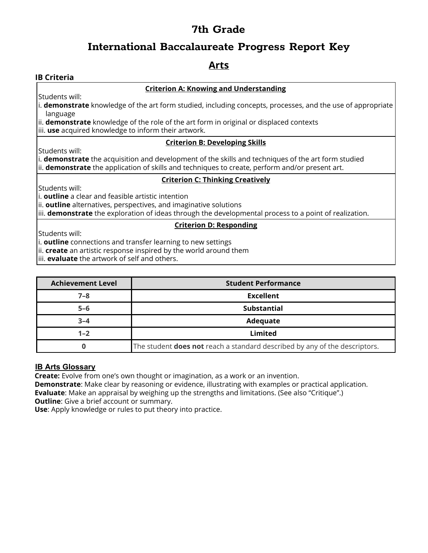## **International Baccalaureate Progress Report Key**

## **Arts**

### **IB Criteria**

#### **Criterion A: Knowing and Understanding**

Students will:

i. **demonstrate** knowledge of the art form studied, including concepts, processes, and the use of appropriate language

ii. **demonstrate** knowledge of the role of the art form in original or displaced contexts

iii. **use** acquired knowledge to inform their artwork.

#### **Criterion B: Developing Skills**

Students will:

i. **demonstrate** the acquisition and development of the skills and techniques of the art form studied ii. **demonstrate** the application of skills and techniques to create, perform and/or present art.

#### **Criterion C: Thinking Creatively**

Students will:

i. **outline** a clear and feasible artistic intention

ii. **outline** alternatives, perspectives, and imaginative solutions

iii. **demonstrate** the exploration of ideas through the developmental process to a point of realization.

### **Criterion D: Responding**

Students will:

i. **outline** connections and transfer learning to new settings

ii. **create** an artistic response inspired by the world around them

iii. **evaluate** the artwork of self and others.

| <b>Achievement Level</b> | <b>Student Performance</b>                                                 |
|--------------------------|----------------------------------------------------------------------------|
| $7 - 8$                  | <b>Excellent</b>                                                           |
| $5 - 6$                  | <b>Substantial</b>                                                         |
| $3 - 4$                  | Adequate                                                                   |
| $1 - 2$                  | Limited                                                                    |
|                          | The student does not reach a standard described by any of the descriptors. |

### **IB Arts Glossary**

**Create:** Evolve from one's own thought or imagination, as a work or an invention.

**Demonstrate**: Make clear by reasoning or evidence, illustrating with examples or practical application. **Evaluate**: Make an appraisal by weighing up the strengths and limitations. (See also "Critique".) **Outline:** Give a brief account or summary.

**Use**: Apply knowledge or rules to put theory into practice.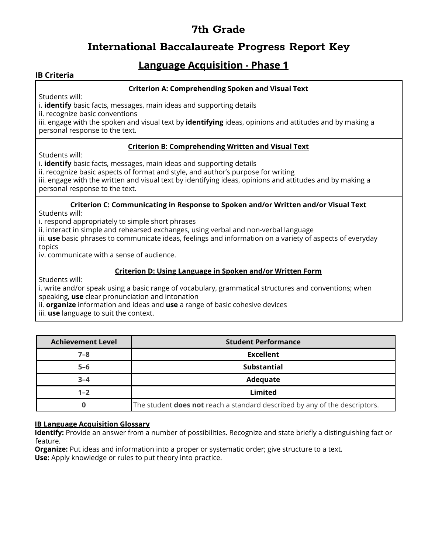## **International Baccalaureate Progress Report Key**

## **Language Acquisition - Phase 1**

### **IB Criteria**

### **Criterion A: Comprehending Spoken and Visual Text**

Students will:

i. **identify** basic facts, messages, main ideas and supporting details

ii. recognize basic conventions

iii. engage with the spoken and visual text by **identifying** ideas, opinions and attitudes and by making a personal response to the text.

### **Criterion B: Comprehending Written and Visual Text**

Students will:

i. **identify** basic facts, messages, main ideas and supporting details

ii. recognize basic aspects of format and style, and author's purpose for writing

iii. engage with the written and visual text by identifying ideas, opinions and attitudes and by making a personal response to the text.

#### **Criterion C: Communicating in Response to Spoken and/or Written and/or Visual Text**

Students will:

i. respond appropriately to simple short phrases

ii. interact in simple and rehearsed exchanges, using verbal and non-verbal language

iii. **use** basic phrases to communicate ideas, feelings and information on a variety of aspects of everyday topics

iv. communicate with a sense of audience.

### **Criterion D: Using Language in Spoken and/or Written Form**

Students will:

i. write and/or speak using a basic range of vocabulary, grammatical structures and conventions; when speaking, **use** clear pronunciation and intonation

ii. **organize** information and ideas and **use** a range of basic cohesive devices

iii. **use** language to suit the context.

| <b>Achievement Level</b> | <b>Student Performance</b>                                                        |
|--------------------------|-----------------------------------------------------------------------------------|
| $7 - 8$                  | <b>Excellent</b>                                                                  |
| $5 - 6$                  | <b>Substantial</b>                                                                |
| $3 - 4$                  | Adequate                                                                          |
| $1 - 2$                  | Limited                                                                           |
|                          | The student <b>does not</b> reach a standard described by any of the descriptors. |

### **IB Language Acquisition Glossary**

**Identify:** Provide an answer from a number of possibilities. Recognize and state briefly a distinguishing fact or feature.

**Organize:** Put ideas and information into a proper or systematic order; give structure to a text. **Use:** Apply knowledge or rules to put theory into practice.